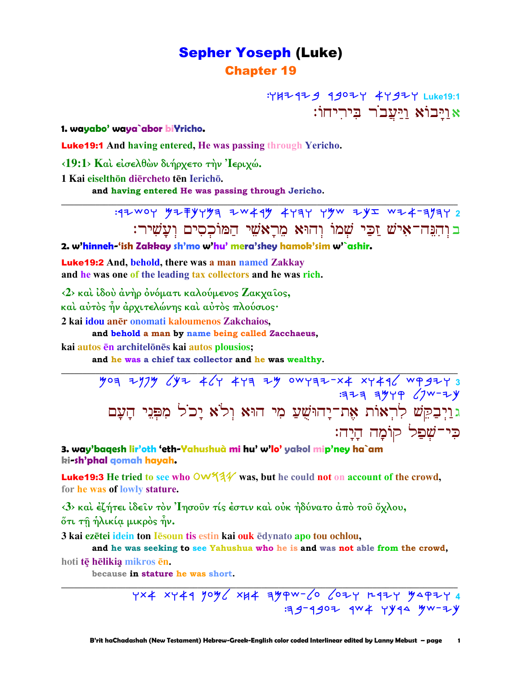# **Sepher Yoseph (Luke) Chapter 19**

: YH + 47 9 4 9 0 2 Y + Y 3 2 Y Luke 19:1 אויבוֹא ויעבר ביריחוֹ:

1. wayabo' waya`abor biYricho.

**Luke19:1** And having entered, He was passing through Yericho.

<19:1> Και είσελθών διήρχετο την Ίεριχώ.

1 Kai eiselthōn diērcheto tēn Ierichō.

and having entered He was passing through Jericho.

ב וִהְנֵה־אִישׁ זַכֵּי שָׁמוֹ וְהוּא מֵרָאשִׁי הַמּוֹכִסִים וְעַשִׁיר:

2. w'hinneh-'ish Zakkay sh'mo w'hu' mera'shey hamok'sim w'`ashir.

**Luke 19:2** And, behold, there was a man named Zakkay and he was one of the leading tax collectors and he was rich.

 $\langle 2 \rangle$  και ίδου άνηρ ονόματι καλούμενος Ζακχαίος, και αύτος ην άρχιτελώνης και αύτος πλούσιος·

2 kai idou anēr onomati kaloumenos Zakchaios,

and behold a man by name being called Zacchaeus,

kai autos en architelones kai autos plousios;

and he was a chief tax collector and he was wealthy.

 $709$  2174  $44$  44 324 324 443 344 4444 4444 4444  $3777$   $3979$   $(70 - 7)$ גּוַיְבַקֵּשׁ לְרְאוֹת אֶת־יָהוּשֻׁעַ מִי הוּא וִלֹא יָכֹל מִפְּנֵי הַעַם כִּי־שָׁפַל קוֹמַה הַיַה:

3. way'baqesh lir'oth 'eth-Yahushuà mi hu' w'lo' yakol mip'ney ha`am ki**-sh'phal g**omah hayah.

**Luke19:3** He tried to see who  $\circlearrowleft\sqrt{34}$  was, but he could not on account of the crowd, for he was of lowly stature.

<3> και έζήτει ίδειν τον 'Ιησούν τίς έστιν και ούκ ήδύνατο άπο του όχλου, ότι τη ήλικία μικρός ήν.

3 kai ezētei idein ton lēsoun tis estin kai ouk ēdynato apo tou ochlou,

and he was seeking to see Yahushua who he is and was not able from the crowd,

hoti tē hēlikia mikros ēn.

because in stature he was short.

YX4 XY44 YOY XH4 4YPW- 6 COZY R4ZY YAPZY 4 :39-4902 4W ¥ YY44 4W-ZY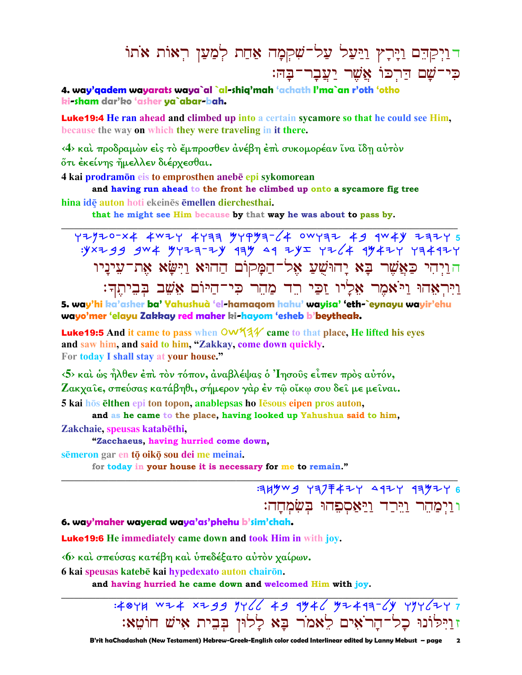# <u>רויקהם וירץ ויעל על־שקמה אחת למען ראות אתו</u> כי־שם הַרְכוֹ אֲשֶׁר יַעֲבָר־בָהּ:

4. way'aadem wayarats waya`al `al-shia'mah 'achath I'ma`an r'oth 'otho ki-sham dar'ko 'asher ya`abar-bah.

**Luke19:4** He ran ahead and climbed up into a certain sycamore so that he could see Him, because the way on which they were traveling in it there.

<4> και προδραμών είς το έμπροσθεν ανέβη έπι συκομορέαν ίνα ίδη αύτον ότι ἐκείνης ἤμελλεν διέρχεσθαι.

4 kai prodramon eis to emprosthen anebe epi sykomorean

and having run ahead to the front he climbed up onto a sycamore fig tree hina idē auton hoti ekeinēs ēmellen dierchesthai.

that he might see Him because by that way he was about to pass by.

 $.9x799$  gw & gyza-zy 194 49 zyz yz 4 1942 yakay הוַיִהִי כַּאֲשֶׁר בָּא יַהוּשָׁעַ אֶל־הַמַּקוֹם הַהוּא וַיִּשֵׂא אֶת־עִינַיו וַיִּרְאָהוּ וַיֹּאמֶר אֶלָיו זַכֵּי רֵד מַהֶר כִּי־הַיּוֹם אֲשֵׁב בִּבִיתֵךְ:

5. way'hi ka'asher ba' Yahushuà 'el-hamagom hahu' wayisa' 'eth-`eynayu wayir'ehu wayo'mer 'elayu Zakkay red maher ki-hayom 'esheb b'beytheak.

**Luke 19:5** And it came to pass when  $\frac{OW44}{}$  came to that place, He lifted his eves and saw him, and said to him, "Zakkay, come down quickly. For today I shall stay at your house."

<5> και ως ήλθεν έπι τον τόπον, αναβλέψας ο Ίησους είπεν προς αυτόν, Ζακχαΐε, σπεύσας κατάβηθι, σήμερον γάρ έν τῷ οἴκῳ σου δεῖ με μεῖναι. 5 kai hōs ēlthen epi ton topon, anablepsas ho Iēsous eipen pros auton,

and as he came to the place, having looked up Yahushua said to him, Zakchaie, speusas katabēthi,

"Zacchaeus, having hurried come down,

sēmeron gar en tō oikō sou dei me meinai.

for today in your house it is necessary for me to remain."

 $794\%$   $9477747$   $9977$   $9977$ ווימהר וירד ויאספהוּ בשׂמחה:

6. way'maher wayerad waya'as'phehu b'sim'chah.

**Luke19:6** He immediately came down and took Him in with joy.

<6> καὶ σπεύσας κατέβη καὶ ὑπεδέξατο αὐτὸν χαίρων.

6 kai speusas katebē kai hypedexato auton chairōn.

and having hurried he came down and welcomed Him with joy.

: 40YH WZ 4 XZ99 YY 66 49 9746 72497-64 YYY 62Y7 זוַיִּלוֹנוּ כָל־הָרֹאִים לֵאמֹר בָּא לָלוּן בִּבִית אִישׁ חוֹטֵא: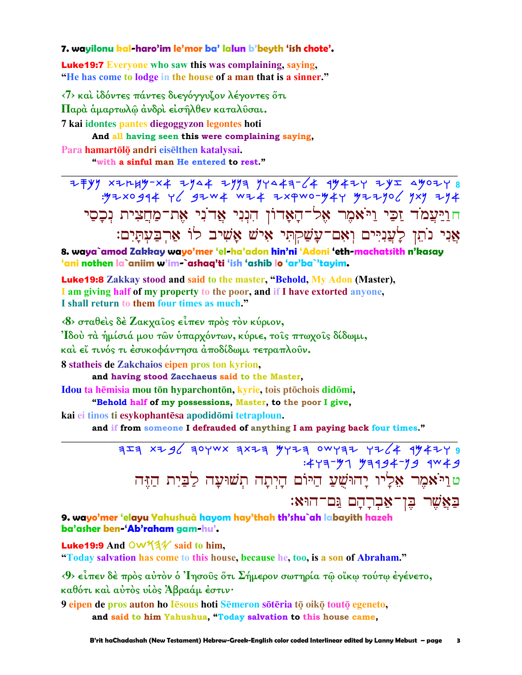#### 7. wayilonu kal-haro'im le'mor ba' lalun b'beyth 'ish chote'.

**Luke 19:7** Everyone who saw this was complaining, saying, "He has come to lodge in the house of a man that is a sinner."

<7> και ιδόντες πάντες διεγόγγυζον λέγοντες ότι Παρά άμαρτωλώ άνδρι είσηλθεν καταλύσαι. 7 kai idontes pantes diegoggyzon legontes hoti

And all having seen this were complaining saying, Para hamartōlō andri eisēlthen katalysai.

"with a sinful man He entered to rest."

 $7+7$ y x2r4y x4 zys4 zyya yys4a-64 qy4zy zyx syozy 8<br>۳/۰۰ yy yaxo ya yaxa xxewo-y4y yzzyo חוַיַּעֲמֹד זַכֵּי וַיֹּאמֶר אֶל־הַאַדוֹן הִנְנִי אֵדוֹנִי אֶת־מַחֲצִית נִכַסֵי אֲנִי נֹתֵן לַעֲנִיִּים וְאָם־עָשַׁקִתִּי אִישׁ אֲשִׁיב לוֹ אַרְבַעִתַּיִם:

8. waya`amod Zakkay wayo'mer 'el-ha'adon hin'ni 'Adoni 'eth-machatsith n'kasay 'ani nothen la`aniim w'im-`ashaq'ti 'ish 'ashib lo 'ar'ba`'tayim.

**Luke19:8** Zakkay stood and said to the master, "Behold, My Adon (Master), I am giving half of my property to the poor, and if I have extorted anyone, I shall return to them four times as much."

 $\langle 8 \rangle$  σταθείς δέ Ζακγαΐος είπεν πρός τον κύριον, Ίδού τὰ ἡμίσιά μου τῶν ὑπαρχόντων, κύριε, τοις πτωχοις δίδωμι, και εί τινός τι έσυκοφάντησα αποδίδωμι τετραπλούν. 8 statheis de Zakchaios eipen pros ton kyrion, and having stood Zacchaeus said to the Master,

Idou ta hēmisia mou tōn hyparchontōn, kyrie, tois ptōchois didōmi,

"Behold half of my possessions, Master, to the poor I give,

kai ei tinos ti esykophantēsa apodidōmi tetraploun.

and if from someone I defrauded of anything I am paying back four times."

 $754$  x2g/ 30YWX 3X23 4Y23 0WY32 Y2/4 9442Y 9  $:477 - 77$  73194-79 4W + 9 טוַיֹּאמֶר אֶלְיו יָהוּשָׁעַ הַיּוֹם הָיִתָה תִשׁוּעַה לַבַּיִת הַזֵּה באַשר בן־אברהם גם־הוּא:

9. wayo'mer 'elayu Yahushuà hayom hay'thah th'shu`ah labayith hazeh ba'asher ben-'Ab'raham gam-hu'.

Luke19:9 And OW531 said to him, "Today salvation has come to this house, because he, too, is a son of Abraham."

<9> είπεν δέ πρός αύτον ο Ίησους ότι Σήμερον σωτηρία τω οίκω τούτω έγένετο, καθότι και αύτος υίος Άβραάμ έστιν·

9 eipen de pros auton ho Iesous hoti Semeron soteria to oiko touto egeneto, and said to him Yahushua, "Today salvation to this house came,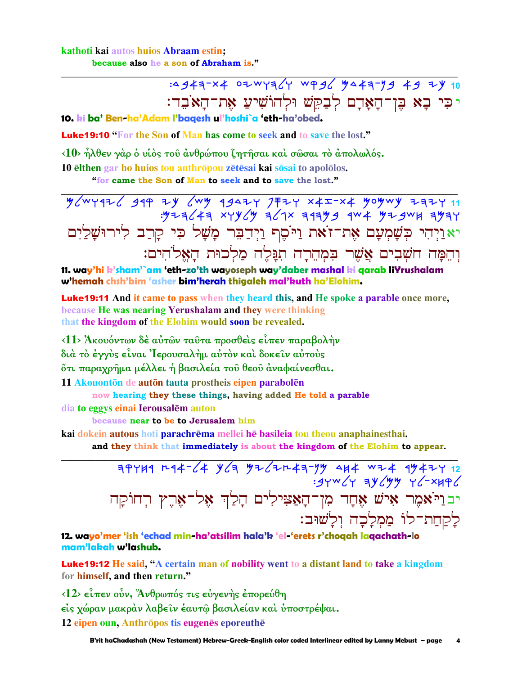## kathoti kai autos huios Abraam estin; because also he a son of Abraham is."

:4943-x4 02WY364 WP96 3443-79 49 24 10 יכִּי בָא בֶּן־הָאָדָם לְבַקֵּשׁ וּלְהוֹשִׁיעַ אָת־הַאֹּבִד:

10. ki ba' Ben-ha'Adam l'bagesh ul'hoshi`a 'eth-ha'obed.

**Luke 19:10 "For the Son of Man has come to seek and to save the lost."** 

<10> ηλθεν γάρ ο υίος του ανθρώπου ζητήσαι και σώσαι το απολωλός.

10 elthen gar ho huios tou anthropou zetesai kai sosai to apololos.

"for came the Son of Man to seek and to save the lost."

11 742 2014 4944 4342 7447 7447 4949 494 494 3447 494<br>3744 394 394 494 744 745 444 744 445 יאַוַיְהִי כְּשָׁמְעָם אֶת־זֹאת וַיֹּסֶף וַיְדַבֵּר מָשָׁל כִּי קָרַב לִירוּשָׁלַיִם וְהֵמַּה חֹשָׁבִים אֲשֶׁר בִּמְהֵרַה תְגַּלֵה מַלְכוּת הַאֱלֹהִים:

11. way'hi k'sham'`am 'eth-zo'th wayoseph way'daber mashal ki qarab liYrushalam w'hemah chsh'bim 'asher bim'herah thigaleh mal'kuth ha'Elohim.

**Luke19:11** And it came to pass when they heard this, and He spoke a parable once more, because He was nearing Yerushalam and they were thinking that the kingdom of the Elohim would soon be revealed.

<11> Άκουόντων δέ αύτων ταύτα προσθείς είπεν παραβολήν διά τὸ ἐγγὺς εἶναι 'Ιερουσαλήμ αὐτὸν καὶ δοκεῖν αὐτοὺς ότι παραχρήμα μέλλει ή βασιλεία του θεου άναφαίνεσθαι.

11 Akouontōn de autōn tauta prostheis eipen parabolēn

now hearing they these things, having added He told a parable

dia to eggys einai Ierousalēm auton

because near to be to Jerusalem him

kai dokein autous hoti parachrēma mellei hē basileia tou theou anaphainesthai.

and they think that immediately is about the kingdom of the Elohim to appear.

 $\frac{1}{49744} \frac{1}{4} \frac{1}{6} \frac{1}{4} \frac{1}{6} \frac{1}{6} \frac{1}{6} \frac{1}{6} \frac{1}{6} \frac{1}{6} \frac{1}{6} \frac{1}{6} \frac{1}{6} \frac{1}{6} \frac{1}{6} \frac{1}{6} \frac{1}{6} \frac{1}{6} \frac{1}{6} \frac{1}{6} \frac{1}{6} \frac{1}{6} \frac{1}{6} \frac{1}{6} \frac{1}{6} \frac{1}{6} \frac{1}{6} \frac{1}{6} \frac{1}{6} \frac{1}{6} \frac{1}{6$ יבוַיֹּאמֶר אִישׁ אֶחָד מִן־הָאַצִּילִים הָלַ<mark>ןְ אָל־א</mark>ַרֵץ רִחוֹקַה לַקַחֲת־לוֹ מַמַלְכָה וְלַשׁוּב:

12. wayo'mer 'ish 'echad min-ha'atsilim hala'k 'el-'erets r'choqah laqachath-lo mam'lakah w'lashub.

**Luke19:12** He said, "A certain man of nobility went to a distant land to take a kingdom for himself, and then return."

 $\langle 12 \rangle$  είπεν ούν, Άνθρωπός τις εύγενης έπορεύθη είς χώραν μακράν λαβείν έαυτώ βασιλείαν και υποστρέψαι. 12 eipen oun, Anthrōpos tis eugenēs eporeuthē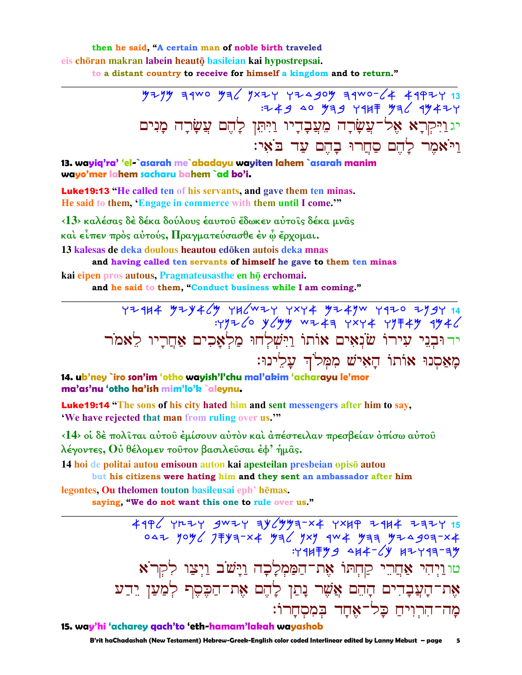then he said, "A certain man of noble birth traveled eis chöran makran labein heautō basileian kai hypostrepsai. to a distant country to receive for himself a kingdom and to return."

> יג וַיִּקְרָא אֶל־עֲשָׂרָה מֵעֲבָדָיו וַיִּתֵּן לָהֶם עֲשָׂרָה מַנִים וי אמר להם סחרו בהם עד באי:

13. wayig'ra' 'el-`asarah me`abadayu wayiten lahem `asarah manim wavo'mer lahem sachary bahem `ad bo'i.

**Luke 19:13** "He called ten of his servants, and gave them ten minas. He said to them, 'Engage in commerce with them until I come.'"

<13> καλέσας δέ δέκα δούλους έαυτου έδωκεν αύτοις δέκα μνας

και είπεν πρός αύτούς, Πραγματεύσασθε έν ώ έρχομαι.

13 kalesas de deka doulous heautou edōken autois deka mnas

and having called ten servants of himself he gave to them ten minas kai eipen pros autous, Pragmateusasthe en hō erchomai.

and he said to them, "Conduct business while I am coming."

14. ub'ney `iro son'im 'otho wayish'l'chu mal'akim 'acharayu le'mor ma'as'nu 'otho ha'ish mim'lo'k `aleynu.

**Luke19:14** "The sons of his city hated him and sent messengers after him to say, 'We have rejected that man from ruling over us.""

<14> οί δέ πολίται αύτου έμίσουν αύτον και απέστειλαν πρεσβείαν όπίσω αύτου λέγοντες, Ού θέλομεν τούτον βασιλεύσαι έφ' ήμας.

14 hoi de politai autou emisoun auton kai apesteilan presbeian opisō autou but his citizens were hating him and they sent an ambassador after him

legontes, Ou the lomen touton basileusai eph<sup>3</sup> hēmas. saying, "We do not want this one to rule over us."

> $4996$  YRZY gwzy ay (yya-x YXXIP Z4X4 ZaZY 15 047 YOYC JFYA-X4 YAC YXY AW4 YAA YIA SOA-X4  $794779$   $94777$   $1797777$ טוּוַיְהִי אַחֲרֵי קַחְתּוֹ אֶת־הַמַּמְלָכָה וַיָּשֹׁב וַיִּצַוּ לִקְרֹא אֶת־הָעֲבָדִים הָהֵם אֲשֶׁר נָתַן לָהֵם אֶת־הַכִּסֵף לְמַעַן יֵדַע מַה־הִרְוִיחַ כַּל־אֶחֲד בִּמְסְחֲרוֹ:

15. way'hi 'acharey gach'to 'eth-hamam'lakah wayashob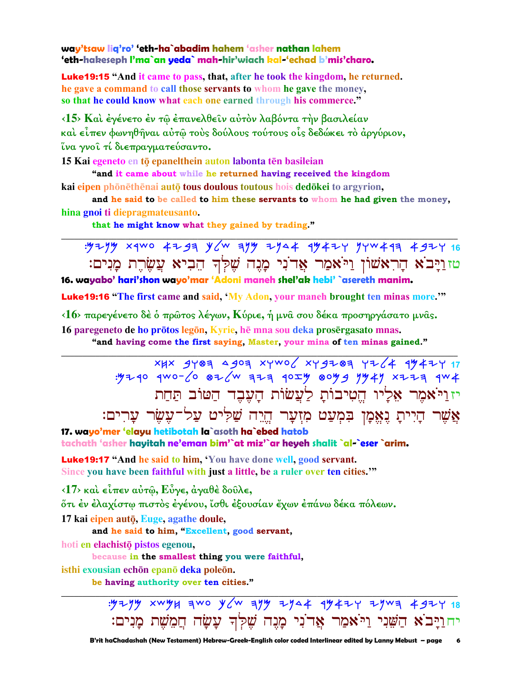way'tsaw lig'ro' 'eth-ha`abadim hahem 'asher nathan lahem 'eth-hakeseph l'ma`an yeda` mah-hir'wiach kal-'echad b'mis'charo.

**Luke19:15** "And it came to pass, that, after he took the kingdom, he returned. he gave a command to call those servants to whom he gave the money, so that he could know what each one earned through his commerce."

<15> Και έγένετο έν τω έπανελθείν αύτον λαβόντα την βασιλείαν καὶ εἶπεν φωνηθῆναι αὐτῷ τοὺς δούλους τούτους οἷς δεδώκει τὸ ἀργύριον, ΐνα γνοι τί διεπραγματεύσαντο.

15 Kai egeneto en tō epanelthein auton labonta tēn basileian

"and it came about while he returned having received the kingdom kai eipen phōnēthēnai autō tous doulous toutous hois dedōkei to argyrion,

and he said to be called to him these servants to whom he had given the money, hina gnoi ti diepragmateusanto.

that he might know what they gained by trading."

טזַוַיַּבֹא הַרִאֹשׁוֹן וַיֹּאמַר אֲדֹנִי מָנֵה שֶׁלְךָ הֵבִיא עֲשֶׂרֶת מָנִים: 16. wayabo' hari'shon wayo'mar 'Adoni maneh shel'ak hebi' `asereth manim.

**Luke19:16 "The first came and said, 'My Adon, your manch brought ten minas more.'"** 

<16> παρεγένετο δέ ο πρώτος λέγων, Κύριε, ή μνα σου δέκα προσηργάσατο μνας. 16 paregeneto de ho prōtos legōn, Kyrie, hē mna sou deka prosērgasato mnas.

"and having come the first saying, Master, your mina of ten minas gained."

XHX 9407 4907 XYWO XY9Z07 YZ 4 974ZY 17 : 4240 4WO-60 826W 323 40IY 80Y9 7447 XZZ3 4W4 יז וַיֹּאמֶר אֶלַיו הֱטִיבוֹתַ לַעֲשׂוֹת הַעֲבֶד הַטּוֹב תַּחַת אֲשֶׁר הָיִיתָ נֶאֱמָן בִּמְעַט מִזִעַר הֵיֵה שַׁלִּיט עַל־עֵשֵׂר עַרִים:

17. wayo'mer 'elayu hetibotah la`asoth ha`ebed hatob tachath 'asher hayitah ne'eman bim'`at miz'`ar heyeh shalit `al-`eser `arim.

Luke19:17 "And he said to him, 'You have done well, good servant. Since you have been faithful with just a little, be a ruler over ten cities."

 $\langle 17 \rangle$  και είπεν αύτῶ, Εύγε, άγαθέ δούλε,

őτι έν έλαχίστω πιστός έγένου, ἴσθι έξουσίαν έχων έπάνω δέκα πόλεων.

17 kai eipen autō, Euge, agathe doule,

and he said to him, "Excellent, good servant,

hoti en elachistō pistos egenou,

because in the smallest thing you were faithful,

isthi exousian echōn epanō deka poleōn.

be having authority over ten cities."

: 524 xwyx awo y aw ayy 2y 4 4y 424 2ywa 4924 18 יחוַיָּבֹא הַשֶּׁנִי וַיֹּאמַר אֲדֹנִי מָנֶה שֵׁלְדְ עָשָׂה חֲמֵשָׁת מָנִים: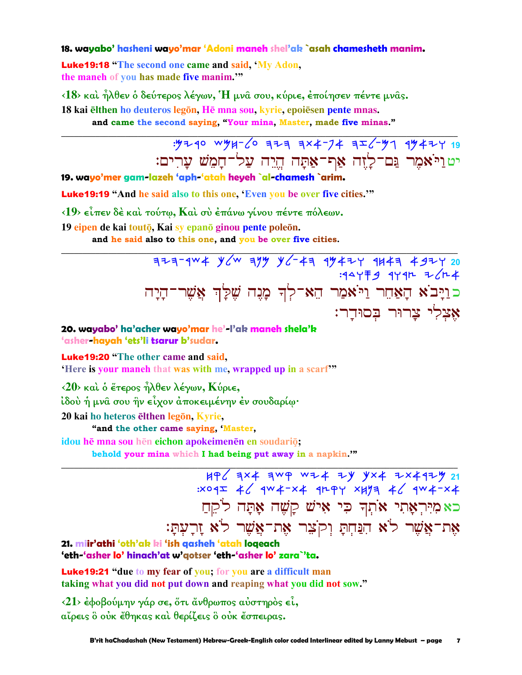### 18. wayabo' hasheni wayo'mar 'Adoni maneh shel'ak `asah chamesheth manim.

**Luke19:18** "The second one came and said, 'My Adon, the maneh of you has made five manim."

 $\langle 18 \rangle$  και ήλθεν ο δεύτερος λέγων,  $H$  μνα σου, κύριε, εποίησεν πέντε μνας.

18 kai elthen ho deuteros legon. He mna sou, kyrie, epoiesen pente mnas.

and came the second saying, "Your mina, Master, made five minas."

: 4240 wyy-6 323 3x4-74 3I6-47 94424 19 <u>יטויאמר נּם־לַזָה אַף־אַתַּה הֵיָה עַל־חַמֵשׁ עַרִים:</u>

19. wayo'mer gam-lazeh 'aph-'atah heyeh `al-chamesh `arim.

**Luke 19:19** "And he said also to this one, 'Even you be over five cities.'"

 $(19)$  είπεν δέ και τούτω, Και συ έπάνω γίνου πέντε πόλεων.

19 eipen de kai toutō, Kai sy epanō ginou pente poleōn.

and he said also to this one, and you be over five cities.

 $77774W4$  y ayy y c + 3 4y 42 4443 4924 20 :44Y F 9 4Y 4H = /H 4 כּוַיָּבֹא הָאַחֵר וַיֹּאמַר הֵא־לְךָ מָנֶה שֶׁלַּךְ אֲשֶׁר־הָיָה אָצְלִי צַרוּר בְּסוּדֵר:

20. wayabo' ha'acher wayo'mar he'-l'ak maneh shela'k 'asher-hayah 'ets'li tsarur b'sudar.

**Luke19:20 "The other came and said.** 'Here is your maneh that was with me, wrapped up in a scarf"

 $\langle 20 \rangle$  και ο έτερος ήλθεν λέγων, Κύριε,

ίδου ή μνα σου ήν είχον αποκειμένην έν σουδαρίω·

20 kai ho heteros elthen legon, Kyrie,

"and the other came saying, Master,

idou hē mna sou hēn eichon apokeimenēn en soudariō;

behold your mina which I had being put away in a napkin.""

HP & AX+ AWP WI+ IY YX+ IX+4IY 21  $11071$ <br>: x04I 4/ 4W4-x4 4rpy x477 4/ 4W4-x4 כאמיראָתי אוֹתְךְ כִּי אִישׁ קַשָּׁה אָתָּה לֹקֵחַ אֶת־אֱשֶׁר לֹא הִנַּחִתַּ וְקֹצֶר אֶת־אֲשֶׁר לֹא זַרֲעָתַּ:

21. miir'athi 'oth'ak ki 'ish qasheh 'atah loqeach 'eth-'asher lo' hinach'at w'gotser 'eth-'asher lo' zara`'ta.

**Luke19:21** "due to my fear of you; for you are a difficult man taking what you did not put down and reaping what you did not sow."

<21> έφοβούμην γάρ σε, ότι άνθρωπος αύστηρός εί, αΐρεις ὃ οὐκ ἔθηκας καὶ θερίζεις ὃ οὐκ ἔσπειρας.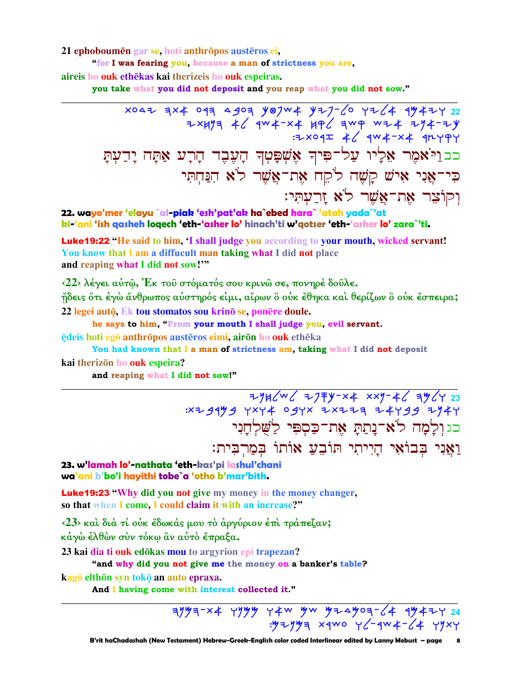21 ephoboumen gar se, hoti anthropos austeros ei,

"for I was fearing you, because a man of strictness you are. aireis ho ouk ethēkas kai therizeis ho ouk espeiras.

you take what you did not deposit and you reap what you did not sow."

xoaz qx4 oqq agoq yojw4 yzj-60 yz64 qy4zy 22<br>zxyyq 46 qw4-x4 yq6 qwq wz4 zy4-zy<br>zxoqz 46 qw4-x4 qryqy; כב וַיֹּאמֶר אֶלְיוּ עַלְ־פִּיךְ אֵשִׁפָּטְךָ הָעֶבֶד הָרָע אַתָּה יָדַעִתָּ כִּי־אֲנִי אִישׁ קַשָּׁה לֹקֵח אֶת־אֲשָׁר לֹא הִנַּחִתִּי וִקוֹצָר אָת־אֱשֶׁר לֹא זַרֲעָתִּי:

22. wayo'mer 'elayu `al-piak 'esh'pat'ak ha`ebed hara` 'atah yada`'at ki-'ani 'ish qasheh loqech 'eth-'asher lo' hinach'ti w'qotser 'eth-'asher lo' zara`'ti.

Luke19:22 "He said to him, I shall judge you according to your mouth, wicked servant! You know that I am a diffucult man taking what I did not place and reaping what I did not sow!"

<22> λέγει αύτω, Έκ του στόματός σου κρινω σε, πονηρέ δουλε.

ήδεις ότι έγω άνθρωπος αύστηρός είμι, αίρων δ ούκ έθηκα και θερίζων δ ούκ έσπειρα; 22 legei autō, Ek tou stomatos sou krinō se, ponēre doule.

he says to him, "From your mouth I shall judge you, evil servant.

ēdeis hoti egō anthrōpos austēros eimi, airōn ho ouk ethēka

You had known that I a man of strictness am, taking what I did not deposit

#### kai therizon ho ouk espeira?

and reaping what I did not sow!"

כגולמה לא־נתת את־כַּסִפִּי לַשָּׁלְחַנִי וַאֲנִי בִּבוֹאִי הַיִיתִי תּוֹבֵעַ אוֹתוֹ בִּמַרְבִּית:

### 23. w'lamah lo'-nathata 'eth-kas'pi lashul'chani wa'ani b'bo'i hayithi tobe`a 'otho b'mar'bith.

**Luke19:23 "Why did you not give my money in the money changer,** so that when I come, I could claim it with an increase?"

<23> και διά τί ούκ έδωκάς μου το άργύριον έπι τράπεζαν; κάγὼ έλθὼν σὺν τόκω ἂν αὐτὸ ἔπραξα.

23 kai dia ti ouk edōkas mou to argyrion epi trapezan?

"and why did you not give me the money on a banker's table?

kagō elthōn syn tokō an auto epraxa.

And I having come with interest collected it."

 $7/7$  3/4  $7/7$  4/7  $4$  4/4  $4$  4/4  $4$  4/4  $4$  4/4  $1/24$  $.9779997$  x4WO Y (-4W 4- (4 Y9XY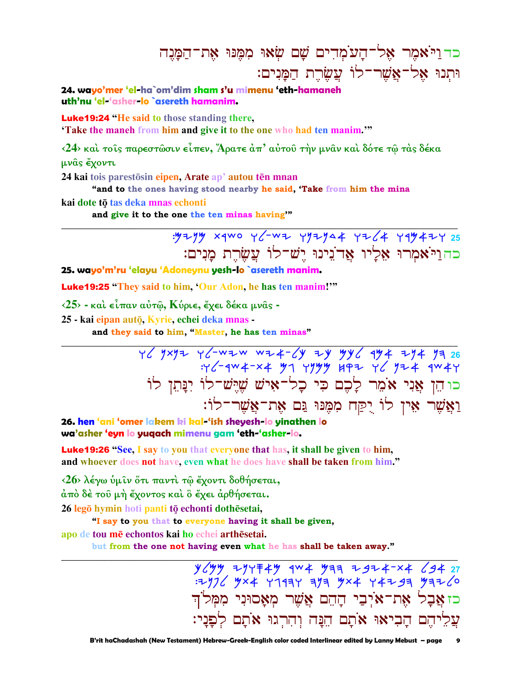כד וַיֹּאמֶר אֵל־הַעֹמְדִים שֵׁם שִׂאוּ מִמֵּנוּ אֶת־הַמֲנֶה וּתְנוּ אֱלֹ־אֱשֶׁר־לוֹ עֲשֶׂרֶת הַמַּנִים:

24. wavo'mer 'el-ha`om'dim sham s'u mimenu 'eth-hamaneh uth'nu 'el-'asher-lo `asereth hamanim.

**Luke19:24 "He said to those standing there.** 

**Take the manch from him and give it to the one who had ten manim.**"

<24> και τοις παρεστώσιν είπεν, Άρατε άπ' αύτου την μναν και δότε τω τας δέκα μνας έχοντι

24 kai tois parestosin eipen, Arate ap' autou ten mnan

"and to the ones having stood nearby he said, 'Take from him the mina

kai dote tō tas deka mnas echonti

and give it to the one the ten minas having"

: 52 yay x q wo y c - w = yyzy44 y = c + yqy4 = y = 25 כה וַיֹּאמִרוּ אָלַיו אֲדֹנִינוּ יֵשׁ־לוֹ עֲשֶׂרֶת מַנִים:

25. wayo'm'ru 'elayu 'Adoneynu yesh-lo `asereth manim.

**Luke 19:25** "They said to him, 'Our Adon, he has ten manim!"

 $\langle 25 \rangle$  - και είπαν αυτώ, Κύριε, έχει δέκα μνας -

25 - kai eipan autō, Kyrie, echei deka mnas -

and they said to him, "Master, he has ten minas"

 $\frac{1}{6}$  and  $\frac{1}{2}$  and  $\frac{1}{2}$  and  $\frac{1}{2}$  and  $\frac{1}{2}$  and  $\frac{1}{2}$  and  $\frac{1}{2}$  and  $\frac{1}{2}$  and  $\frac{1}{2}$  and  $\frac{1}{2}$  and  $\frac{1}{2}$  and  $\frac{1}{2}$  and  $\frac{1}{2}$  and  $\frac{1}{2}$  and  $\frac{1}{2}$  and  $\frac{1}{2}$  a כו הֵן אֲנִי אֹמֵר לָכֶם כִּי כָל־אִישׁ שֵׁיֵּשׁ־לוֹ יִנָּתֵן לוֹ וַאֲשֶׁר אֵין לוֹ יֻקַח מִמֵּנּוּ גַּם אֵת־אֲשֵׁר־לוֹ:

26. hen 'ani 'omer lakem ki kal-'ish sheyesh-lo yinathen lo wa'asher 'eyn lo yuqach mimenu gam 'eth-'asher-lo.

**Luke19:26** "See, I say to you that everyone that has, it shall be given to him, and whoever does not have, even what he does have shall be taken from him."

<26> λέγω ύμιν ότι παντί τω έχοντι δοθήσεται,

άπό δέ του μή έχοντος και ο έχει αρθήσεται.

26 legō hymin hoti panti tō echonti dothēsetai,

"I say to you that to everyone having it shall be given,

apo de tou mē echontos kai ho echei arthēsetai.

but from the one not having even what he has shall be taken away."

 $y$  ( $yy$  + $y$  $y$  + $z$  $y$  + $y$  + $y$  +  $y$  +  $z$  +  $z$  +  $z$  +  $z$  +  $z$  +  $y$  +  $z$  +  $y$  +  $z$  +  $y$  +  $z$  +  $y$  +  $z$  +  $z$  +  $z$  +  $z$  +  $z$  +  $z$  +  $z$  +  $z$  +  $z$  +  $z$  +  $z$  +  $z$  +  $z$  +  $z$  +  $z$  +  $z$  +  $z$  +  $z$  כז אֲבָל אֶת־אֹיְבַי הַהֵם אֲשֶׁר מִאָסוּנִי מִמְּלֹוִ עֲלֵיהֶם הַבִיאוּ אֹתָם הֵנַּה וְהִרְגוּ אֹתָם לְפַנַי: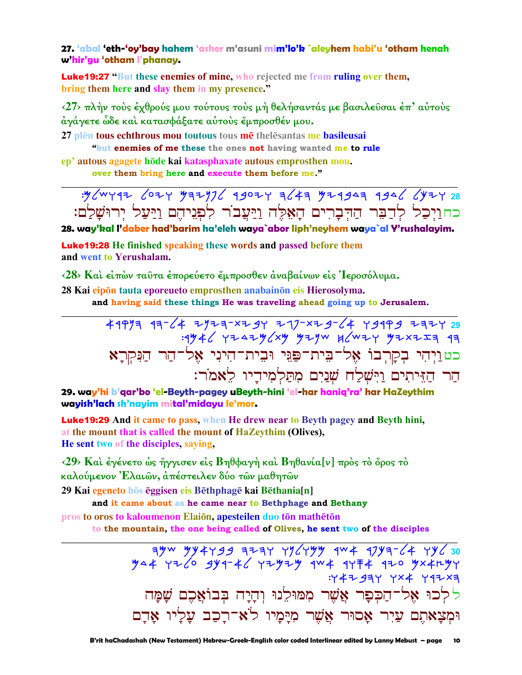27. 'abal 'eth-'oy'bay hahem 'asher m'asuni mim'lo'k `aleyhem habi'u 'otham henah w'hir'gu 'otham I'phanay.

**Luke19:27 "But these enemies of mine, who rejected me from ruling over them,** bring them here and slay them in my presence."

<27> πλήν τούς έχθρούς μου τούτους τούς μή θελήσαντάς με βασιλεῦσαι έπ' αύτους άγάγετε ὧδε καὶ κατασφάξατε αὐτοὺς ἔμπροσθέν μου.

27 plen tous echthrous mou toutous tous me the less antes me basileusai

"but enemies of me these the ones not having wanted me to rule

ep' autous agagete hōde kai katasphaxate autous emprosthen mou.

over them bring here and execute them before me."

כחוַיִכַל לְדַבֵּר הַדִּבָרִים הָאָלֶה וַיַּעֲבֹר לְפִגִיהֵם וַיַּעַל יִרוּשָׁלַָם:

28. way'kal I'daber had'barim ha'eleh waya`abor liph'neyhem waya`al Y'rushalayim.

**Luke 19:28** He finished speaking these words and passed before them and went to Yerushalam.

<28> Και είπών ταύτα έπορεύετο έμπροσθεν άναβαίνων είς Ίεροσόλυμα.

28 Kai eipōn tauta eporeueto emprosthen anabainōn eis Hierosolyma.

and having said these things He was traveling ahead going up to Jerusalem.

כט וַיִהִי בִקְרִבוֹ אָל־בֵית־פַּגֵּי וּבִית־הִינִי אָל־הַר הַנִּקְרַא הַר הַזֵּיתִים וַיִּשְׁלַח שָׁנַיִם מִתַּלְמִידֵיו לֵאמֹר:

29. way'hi b'gar'bo 'el-Beyth-pagey uBeyth-hini 'el-har hanig'ra' har HaZeythim wayish'lach sh'nayim mital'midayu le'mor.

**Luke19:29** And it came to pass, when He drew near to Beyth pagey and Beyth hini, at the mount that is called the mount of HaZeythim (Olives), He sent two of the disciples, saying,

 $\langle 29 \rangle$  Και έγένετο ώς ήγγισεν είς Βηθφαγή και Βηθανία[ν] προς το όρος το καλούμενον Έλαιῶν, ἀπέστειλεν δύο τῶν μαθητῶν

29 Kai egeneto hōs ēggisen eis Bēthphagē kai Bēthania[n]

and it came about as he came near to Bethphage and Bethany pros to oros to kaloumenon Elaion, apesteilen duo ton matheton

to the mountain, the one being called of Olives, he sent two of the disciples

:Y4Z 93Y YX4 Y9ZX3 ללכוּ אֶל־הַכְּפָר אֲשֶׁר מִמּוּלֵנוּ וְהָיָה בִּבוֹאֲכֵם שַׁמַּה וּמְצַאתֵם עַיִר אָסוּר אֱשֶׁר מִיַּמַיו לֹא־רַכָב עַלִיו אַדַם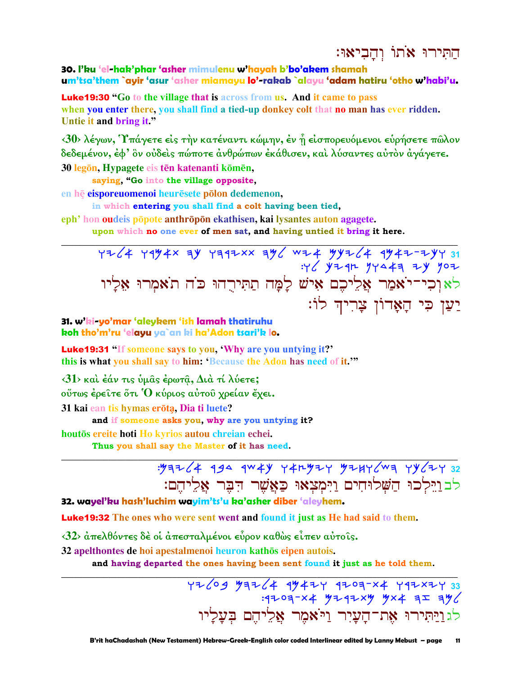# התירו אתו והביאו:

# 30. I'ku 'el-hak'phar 'asher mimulenu w'hayah b'bo'akem shamah um'tsa'them `ayir 'asur 'asher miamayu lo'-rakab `alayu 'adam hatiru 'otho w'habi'u.

**Luke19:30** "Go to the village that is across from us. And it came to pass when you enter there, you shall find a tied-up donkey colt that no man has ever ridden. Untie it and bring it."

 $\langle 30 \rangle$  λέγων, Υπάγετε είς την κατέναντι κώμην, έν η είσπορευόμενοι ευρήσετε πώλον δεδεμένον, έφ' ὃν ούδεις πώποτε άνθρώπων έκάθισεν, και λύσαντες αυτόν άγάγετε.

30 legon, Hypagete eis ten katenanti komen,

saying, "Go into the village opposite,

en hē eisporeuomenoi heurēsete pōlon dedemenon.

in which entering you shall find a colt having been tied,

eph' hon oudeis popote anthropon ekathisen, kai lysantes auton agagete.

upon which no one ever of men sat, and having untied it bring it here.

 $7764$  7994 x ay ratax and with yyil 4 ay time you לאוכי־יֹאמַר אֲלִיכֶם אִישׁ לָמָה תַתִּירֻהוּ כֹּה תֹאמִרוּ אַלַיו יַעַן כִּי הַאֲדוֹן צַרִיהָ לוֹ:

31. w'ki-yo'mar 'aleykem 'ish lamah thatiruhu koh tho'm'ru 'elayu ya`an ki ha'Adon tsari'k lo.

**Luke 19:31** "If someone says to you, 'Why are you untying it?' this is what you shall say to him: 'Because the Adon has need of it."

 $\langle 31 \rangle$  και έάν τις υμας έρωτα, Δια τί λύετε;

ούτως έρειτε ότι Ό κύριος αύτου χρείαν έχει.

31 kai ean tis hymas erōta, Dia ti luete?

and if someone asks you, why are you untying it?

houtōs ereite hoti Ho kyrios autou chreian echei.

Thus you shall say the Master of it has need.

# $.99764$  494 4W4Y Y4n92Y 924Y (Wa Yy (2Y 32 לבוילכו הַשָּׁלוּחִים וַיִּמְצְאוּ כַּאֲשֶׁר הָבֶר אֱלִיהֶם:

# 32. wayel'ku hash'luchim wayim'ts'u ka'asher diber 'aleyhem.

Luke19:32 The ones who were sent went and found it just as He had said to them.

 $\langle 32 \rangle$  άπελθόντες δέ οι άπεσταλμένοι εύρον καθώς είπεν αύτοις.

32 apelthontes de hoi apestalmenoi heuron kathōs eipen autois.

and having departed the ones having been sent found it just as he told them.

4269 97264 99424 9209-X4 792X27 33  $: 4203 - x4$   $4242xy$   $4x4 = 12$ לגויקירו את־הַעֲיִר וַיֹּאמֶר אַלֵיהֶם בִּעֲלַיו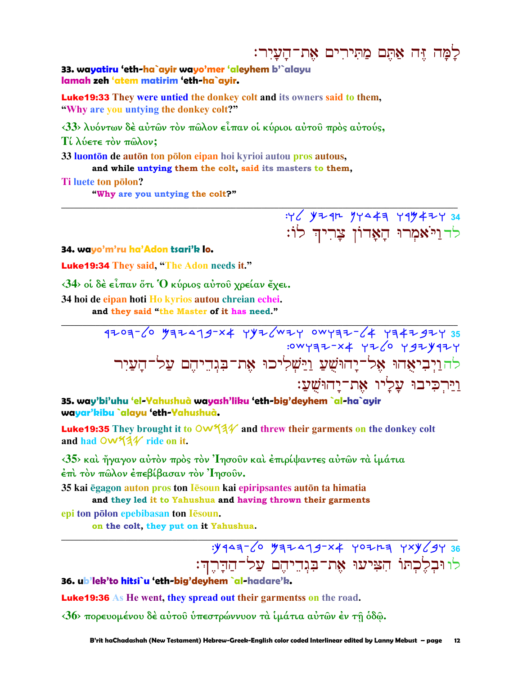# לַמַּה זֶּה אָתֶם מַתִּירִים אֶת־הַעֲיָר:

:Y ( YZ 4R YYA 47 Y 4 Y 4 Z 7 34

לד<u>ו</u>יֹאמְרוּ הָאָדוֹן צָרִיה לוֹ:

### 33. wayatiru 'eth-ha`ayir wayo'mer 'aleyhem b'`alayu lamah zeh 'atem matirim 'eth-ha`ayir.

**Luke19:33** They were untied the donkey colt and its owners said to them, "Why are you untying the donkey colt?"

<33> λυόντων δέ αύτων τον πώλον είπαν οί κύριοι αύτου προς αύτούς,

Τί λύετε τὸν πῶλον;

33 luonton de auton ton polon eipan hoi kyrioi autou pros autous, and while untying them the colt, said its masters to them,

Ti luete ton polon? "Why are you untying the colt?"

34. wayo'm'ru ha'Adon tsari'k lo.

**Luke19:34** They said, "The Adon needs it."

<34> οι δέ είπαν ότι Ο κύριος αυτού χρείαν έχει.

34 hoi de eipan hoti Ho kyrios autou chreian echei.

and they said "the Master of it has need."

35. way'bi'uhu 'el-Yahushuà wayash'liku 'eth-big'deyhem `al-ha`ayir wayar'kibu `alayu 'eth-Yahushuà.

**Luke19:35** They brought it to  $\overline{OW}$  44 and threw their garments on the donkey colt and had OW534 ride on it.

<35> και ήγαγον αύτον πρός τον Ίησούν και επιρίψαντες αυτών τα ιμάτια έπι τον πώλον έπεβίβασαν τον Ίησούν.

35 kai ēgagon auton pros ton lēsoun kai epiripsantes autōn ta himatia and they led it to Yahushua and having thrown their garments

epi ton polon epebibasan ton Iesoun.

on the colt, they put on it Yahushua.

:Y443-6 737479-x4 YOZH3 YXY69Y 36 לו וּבְלֵכְתּוֹ הִצִּיעוּ אֶת־בִּגְהֵיהֶם עֲל־הַדַּהֵדִ:

36. ub'lek'to hitsi`u 'eth-big'deyhem `al-hadare'k.

**Luke 19:36** As He went, they spread out their garments on the road.

<36> πορευομένου δέ αύτου υπεστρώννυον τα ίμάτια αύτων έν τη όδω.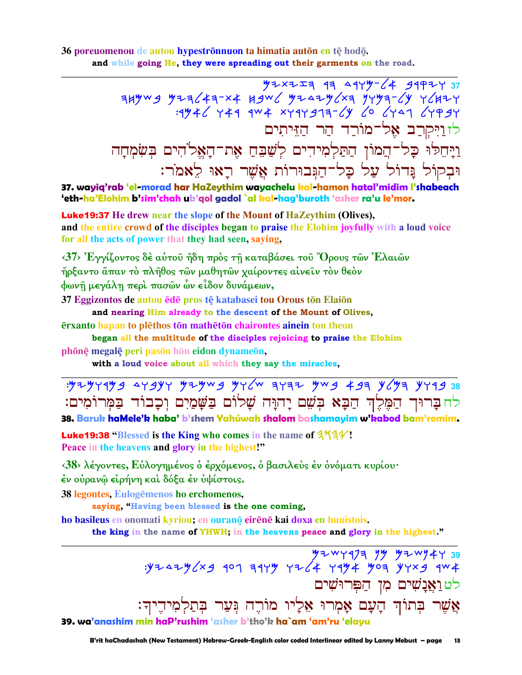#### 36 poreuomenou de autou hypestrōnnuon ta himatia autōn en tē hodō. and while going He, they were spreading out their garments on the road.

לז<u>ויקר</u>ב אל־מורַד הַר הַזֵּיתִים וַיַּחֵלוּ כָל־הֲמוֹן הַתַּלְמִידִים לְשַׁבֵּחַ אֶת־הָאֵלֹהִים בִּשָּׂמְחַה וּבְקוֹל נֵדוֹל עַל כָל־הַגִּבוּרוֹת אֲשֶׁר רָאוּ לֵאמֹר:

37. wayiq'rab 'el-morad har HaZeythim wayachelu kal-hamon hatal'midim l'shabeach 'eth-ha'Elohim b'sim'chah ub'qol gadol `al kal-hag'buroth 'asher ra'u le'mor.

**Luke 19:37** He drew near the slope of the Mount of HaZeythim (Olives), and the entire crowd of the disciples began to praise the Elohim joyfully with a loud voice for all the acts of power that they had seen, saying,

 $\langle 37 \rangle$  Έγγίζοντος δέ αύτου ήδη πρός τη καταβάσει του "Όρους τῶν Ελαιῶν ἤρξαντο ἅπαν τὸ πλῆθος τῶν μαθητῶν χαίροντες αἰνεῖν τὸν θεὸν φωνῆ μεγάλη περὶ πασῶν ὧν εἶδον δυνάμεων,

37 Eggizontos de autou ēdē pros tē katabasei tou Orous tōn Elaiōn

and nearing Him already to the descent of the Mount of Olives,

erxanto hapan to plethos ton matheton chairontes ainein ton theon

began all the multitude of the disciples rejoicing to praise the Elohim

phōnę megalę peri pasōn hōn eidon dynameōn,

with a loud voice about all which they say the miracles,

: 5294499 44344 44444 44444 44444 44444 4444 4444 538 לחברוך הַמֶּלֶךְ הַבָּא בִשָּׁם יַהוַּה שַׁלוֹם בַשַּׁמַיִם וְכָבוֹד בַמְרוֹמִים:

38. Baruk haMele'k haba' b'shem Yahúwah shalom bashamayim w'kabod bam'romim.

**Luke 19:38** "Blessed is the King who comes in the name of  $3\frac{4}{4}\sqrt{3}$ . Peace in the heavens and glory in the highest!"

<38> λέγοντες, Εὐλογημένος ο έρχόμενος, ο βασιλεύς εν ονόματι κυρίου· έν ούρανω είρήνη και δόξα έν υψίστοις.

38 legontes, Eulogēmenos ho erchomenos,

saying, "Having been blessed is the one coming,

ho basileus en onomati kyriou; en ourano eirene kai doxa en huuistois.

the king in the name of YHWH; in the heavens peace and glory in the highest."

 $\frac{y}{y+y+y+y}$ :y+4wy473 yy y+wy473 yy+4+yo4 y+4y: לט וַאֲנַשִׁים מִן הַפְּרוּשִׁים אֲשֶׁר בְּתוֹךְ הָעָם אָמְרוּ אֵלְיו מוֹרֵה גִּעַר בִּתַלְמִידֵיךָ: 39. wa'anashim min haP'rushim 'asher b'tho'k ha`am 'am'ru 'elayu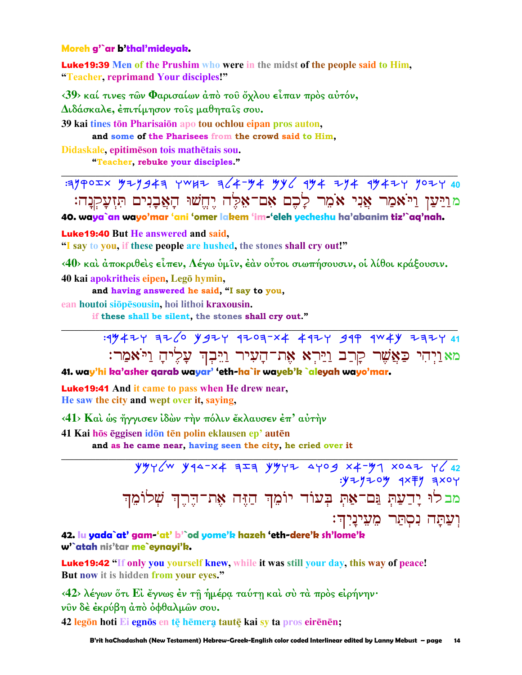### Moreh g'`ar b'thal'mideyak.

**Luke19:39** Men of the Prushim who were in the midst of the people said to Him, "Teacher, reprimand Your disciples!"

<39> καί τινες των Φαρισαίων άπό του όχλου είπαν πρός αύτόν,

Διδάσκαλε, έπιτίμησον τοίς μαθηταίς σου.

39 kai tines tōn Pharisaiōn apo tou ochlou eipan pros auton,

and some of the Pharisees from the crowd said to Him,

Didaskale, epitimēson tois mathētais sou.

"Teacher, rebuke your disciples."

 $39902x$   $97943$   $7047$   $364-y$   $4 y$   $64-y$   $44-y$   $4$   $104-y$   $107-y$ <u>מויען ויאמר אָני אֹמֵר לַכֵם אַם־אָלֶה יָחֱשׁוּ הַאֲבָנִים תִּזְעַקְנַה:</u>

40. waya`an wayo'mar 'ani 'omer lakem 'im-'eleh yecheshu ha'abanim tiz'`aq'nah.

**Luke19:40 But He answered and said,** 

"I say to you, if these people are hushed, the stones shall cry out!"

<40> και άποκριθείς είπεν, Λέγω ύμιν, έαν ούτοι σιωπήσουσιν, οι λίθοι κράξουσιν. 40 kai apokritheis eipen, Legō hymin,

and having answered he said, "I say to you,

ean houtoi siōpēsousin, hoi lithoi kraxousin.

if these shall be silent, the stones shall cry out."

: 1942 7 32 6 942 7 4203-X4 442 749 444 737 741 <u>מאַוִיִהִי כַּאֲשֶׁר קַרַב וַיַּרְא אֶת־הַעִיר וַיֵּבְךָ עָלִיהָ וַיּאַמַר:</u>

41. way'hi ka'asher qarab wayar' 'eth-ha`ir wayeb'k `aleyah wayo'mar.

**Luke 19:41** And it came to pass when He drew near. He saw the city and wept over it, saving,

<41> Και ώς ήγγισεν ίδών την πόλιν έκλαυσεν έπ' αύτην

41 Kai hōs ēggisen idōn tēn polin eklausen ep' autēn

and as he came near, having seen the city, he cried over it

 $:$  $y = y = 0$  $y = 4x + y = 1$ מבלוּ יָדַעַתְ נֵּם־אַתְ בִעוֹד יוֹמֵךְ הַזֶּה אֶת־הֵרֶךְ שָׁלוֹמֵךְ וִעַתַּה נִסְתַּר מֶעֵינַיִךְ:

42. lu yada`at' gam-'at' b'`od yome'k hazeh 'eth-dere'k sh'lome'k w'`atah nis'tar me`evnavi'k.

**Luke19:42 "If only you yourself knew, while it was still your day, this way of peace!** But now it is hidden from your eyes."

<42> λέγων ὅτι Εί ἔγνως ἐν τῆ ἡμέρα ταύτη καί σύ τὰ πρὸς εἰρήνην· νῦν δὲ ἐκρύβη ἀπὸ ὀφθαλμῶν σου.

42 legon hoti Ei egnos en te hemera taute kai sy ta pros eirenen;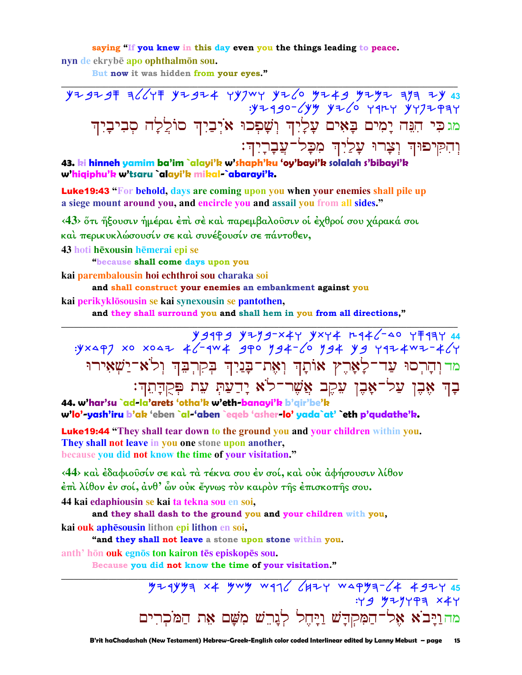saying "If you knew in this day even you the things leading to peace. nyn de ekrybē apo ophthalmōn sou.

But now it was hidden from your eyes."

 $.97490 - 699$   $9760$   $9977$   $99777997$ מגכִּי הִגָּה יָמִים בָאִים עָלְיָךְ וְשָׁפְכוּ אֹיְבַיִךְ סוֹלֲלָה סְבִיבָיִךְ וְהִקִּיפוּהְ וְצָרוּ עָלַיְהָ מִכָּל־עֲבָרָיִהְ:

## 43. ki hinneh yamim ba'im `alayi'k w'shaph'ku 'oy'bayi'k solalah s'bibayi'k w'hiqiphu'k w'tsaru `alayi'k mikal-`abarayi'k.

**Luke19:43** "For behold, days are coming upon you when your enemies shall pile up a siege mount around you, and encircle you and assail you from all sides."

<43> ὅτι ἥξουσιν ἡμέραι ἐπὶ σε καὶ παρεμβαλοῦσιν οἱ έχθροί σου χάρακά σοι και περικυκλώσουσίν σε και συνέξουσίν σε πάντοθεν,

43 hoti hēxousin hēmerai epi se

"because shall come days upon you

kai parembalousin hoi echthroi sou charaka soi

and shall construct your enemies an embankment against you kai perikyklōsousin se kai synexousin se pantothen,

and they shall surround you and shall hem in you from all directions,"

44 7777 04-1446 7444 7444 7445 7444 8494 94144<br>4/4-444 940 7446 7464 940 744-144 740×3. מדוהרסוּ עַד־לָאָרֶץ אוֹתָךְ וְאֶת־בָּנַיִךְ בְקִרְבֵּךְ וְלֹא־יַשְׁאִירוּ בָדְ אָבֶן עַל־אָבֶן עֵקֶב אֲשֶׁר־לֹא יָדַעַתְּ עִת תְּקֻדְּתֵךְ:

44. w'har'su `ad-la'arets 'otha'k w'eth-banayi'k b'qir'be'k w'lo'-yash'iru b'ak 'eben `al-'aben `eqeb 'asher-lo' yada`at' eth p'qudathe'k.

**Luke19:44** "They shall tear down to the ground you and your children within you. They shall not leave in you one stone upon another, because you did not know the time of your visitation."

<44> και έδαφιούσίν σε και τα τέκνα σου έν σοί, και ουκ αφήσουσιν λίθον  $\epsilon$ πι λίθον έν σοί, άνθ' ὧν οὐκ ἔγνως τὸν καιρὸν τῆς ἐπισκοπῆς σου.

44 kai edaphiousin se kai ta tekna sou en soi,

and they shall dash to the ground you and your children with you, kai ouk aphēsousin lithon epi lithon en soi,

"and they shall not leave a stone upon stone within you. anth' hōn ouk egnōs ton kairon tēs episkopēs sou.

Because you did not know the time of your visitation."

 $724$ yuya x 4 ywy wql (42 y waqya-(4 492 y 45  $: Y 9 979999 144$ מהוַיָּבֹא אֶל־הַמִּקְדָשׁ וַיָּחֶל לְנָרֵשׁ מִשָּׁם אֶת הַמֹּכִרִים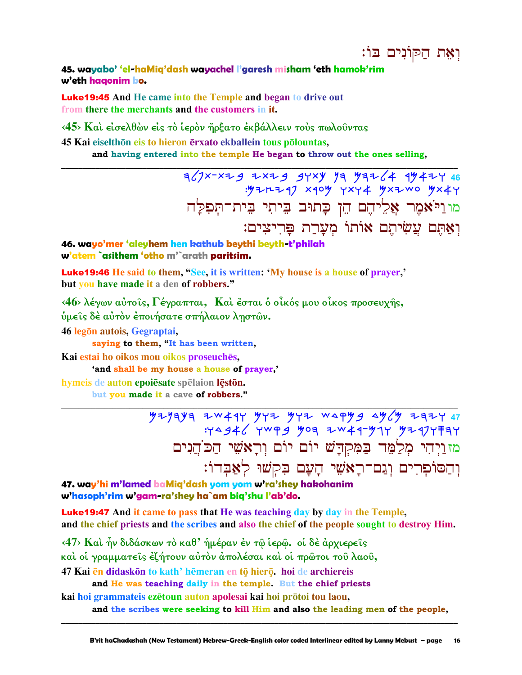ואת הקונים בו:

45. wayabo' 'el-haMig'dash wayachel I'garesh misham 'eth hamok'rim w'eth hagonim bo.

**Luke 19:45** And He came into the Temple and began to drive out from there the merchants and the customers in it.

<45> Και είσελθών είς το ίερον ήρξατο εκβάλλειν τους πωλούντας

45 Kai eiselthōn eis to hieron ērxato ekballein tous pōlountas, and having entered into the temple He began to throw out the ones selling,

> $7/7$ x-xzg zxzg gyxy ya yaz/4 1942y 46 : y = n = z = x = o y x + z + x = w o y x + y ...<br>מוניאסֶר אֲלִיהֶם הֵן כָּתוּב בֵיתִי בֵית־תִּפִלַּה וְאַתֵּם עֲשִׂיתֵם אוֹתוֹ מִעֲרַת פַּרִיצִים:

46. wayo'mer 'aleyhem hen kathub beythi beyth-t'philah w'atem `asithem 'otho m'`arath paritsim.

**Luke19:46** He said to them, "See, it is written: 'My house is a house of prayer,' but you have made it a den of robbers."

 $\langle 46 \rangle$  λέγων αύτοις, Γέγραπται, Καί έσται ο οικός μου οικος προσευχής, ύμεις δέ αύτον έποιήσατε σπήλαιον ληστών.

46 legon autois, Gegraptai,

saying to them, "It has been written,

Kai estai ho oikos mou oikos proseuchēs.

'and shall be my house a house of prayer,'

hymeis de auton epoiesate spelaion leston.

but you made it a cave of robbers."

 $729497$  72794 7394 8449 944 944 944 1444 8446 1444 9446 1444 9446 1444 9446 1444 9446 1444 9446 1444 944 מז וַיִּהִי מִלַמֵּד בַּמְקִדָּשׁ יוֹם יוֹם וְרָאשִׁי הַכֹּהֲנִים וְהַסוֹפְרִים וְגַם־רָאֹשֵׁי הָעָם בִּקְשׁוּ לְאֲבָדוֹ:

47. way'hi m'lamed baMiq'dash yom yom w'ra'shey hakohanim w'hasoph'rim w'gam-ra'shey ha`am biq'shu l'ab'do.

**Luke19:47** And it came to pass that He was teaching day by day in the Temple, and the chief priests and the scribes and also the chief of the people sought to destroy Him.

 $\langle 47 \rangle$  Και ήν διδάσκων το καθ' ήμέραν έν τω ίερω, οι δε άρχιερείς

καὶ οἱ γραμματεῖς ἐζήτουν αὐτὸν ἀπολέσαι καὶ οἱ πρῶτοι τοῦ λαοῦ,

47 Kai en didaskon to kath' hemeran en to hiero, hoi de archiereis

and He was teaching daily in the temple. But the chief priests

kai hoi grammateis ezetoun auton apolesai kai hoi prōtoi tou laou,

and the scribes were seeking to kill Him and also the leading men of the people,